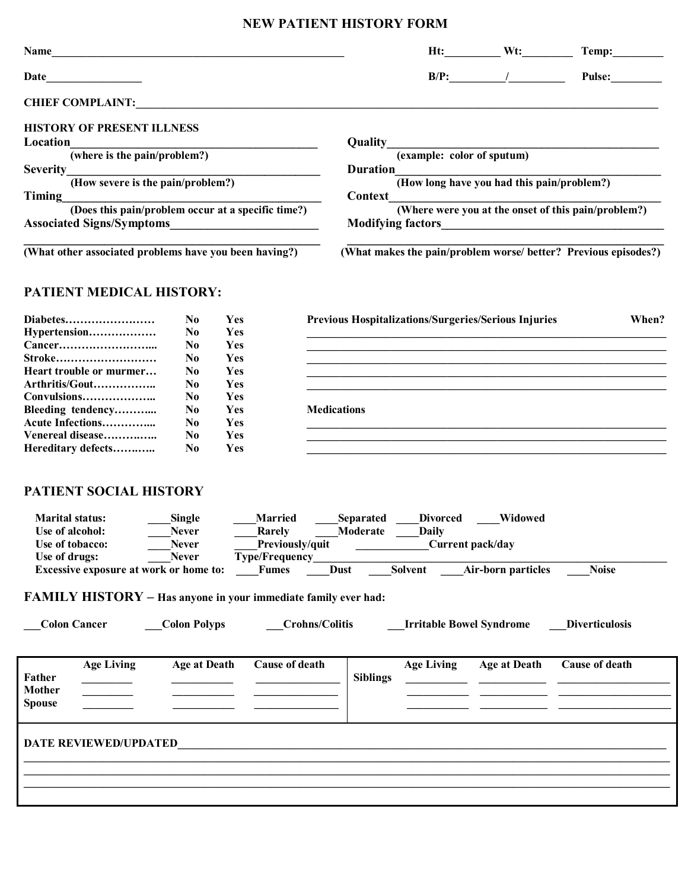## **NEW PATIENT HISTORY FORM**

| Name                                                                                   |                        |     |                                 |                                                             |                                                                                 | $Ht:$ Wt:           | Temp:                                                           |  |  |
|----------------------------------------------------------------------------------------|------------------------|-----|---------------------------------|-------------------------------------------------------------|---------------------------------------------------------------------------------|---------------------|-----------------------------------------------------------------|--|--|
| Date                                                                                   |                        |     |                                 |                                                             |                                                                                 | $B/P:$ /            | Pulse:                                                          |  |  |
| <b>CHIEF COMPLAINT:</b>                                                                |                        |     |                                 |                                                             |                                                                                 |                     |                                                                 |  |  |
| <b>HISTORY OF PRESENT ILLNESS</b>                                                      |                        |     |                                 |                                                             |                                                                                 |                     |                                                                 |  |  |
| Location                                                                               |                        |     |                                 | Quality                                                     |                                                                                 |                     | (example: color of sputum)                                      |  |  |
| (where is the pain/problem?)                                                           |                        |     |                                 |                                                             |                                                                                 |                     |                                                                 |  |  |
| <b>Severity</b><br>(How severe is the pain/problem?)                                   |                        |     |                                 |                                                             | <b>Duration</b><br>(How long have you had this pain/problem?)                   |                     |                                                                 |  |  |
|                                                                                        |                        |     |                                 |                                                             |                                                                                 |                     |                                                                 |  |  |
| Timing                                                                                 |                        |     |                                 | Context                                                     |                                                                                 |                     |                                                                 |  |  |
| (Does this pain/problem occur at a specific time?)<br><b>Associated Signs/Symptoms</b> |                        |     |                                 |                                                             | (Where were you at the onset of this pain/problem?)<br><b>Modifying factors</b> |                     |                                                                 |  |  |
| (What other associated problems have you been having?)                                 |                        |     |                                 |                                                             |                                                                                 |                     | (What makes the pain/problem worse/ better? Previous episodes?) |  |  |
| <b>PATIENT MEDICAL HISTORY:</b>                                                        |                        |     |                                 |                                                             |                                                                                 |                     |                                                                 |  |  |
| Diabetes                                                                               | N <sub>0</sub>         | Yes |                                 | <b>Previous Hospitalizations/Surgeries/Serious Injuries</b> |                                                                                 |                     | When?                                                           |  |  |
| Hypertension                                                                           | N <sub>0</sub>         | Yes |                                 |                                                             |                                                                                 |                     |                                                                 |  |  |
|                                                                                        | N <sub>0</sub>         | Yes |                                 |                                                             |                                                                                 |                     |                                                                 |  |  |
| Stroke                                                                                 | No                     | Yes |                                 |                                                             |                                                                                 |                     |                                                                 |  |  |
| Heart trouble or murmer                                                                | N <sub>0</sub>         | Yes |                                 |                                                             |                                                                                 |                     |                                                                 |  |  |
| Arthritis/Gout                                                                         | N <sub>0</sub>         | Yes |                                 |                                                             |                                                                                 |                     |                                                                 |  |  |
| Convulsions                                                                            | N <sub>0</sub>         | Yes |                                 |                                                             |                                                                                 |                     |                                                                 |  |  |
| Bleeding tendency                                                                      | N <sub>0</sub>         | Yes |                                 | <b>Medications</b>                                          |                                                                                 |                     |                                                                 |  |  |
| Acute Infections                                                                       | N <sub>0</sub>         | Yes |                                 |                                                             |                                                                                 |                     |                                                                 |  |  |
| Venereal disease                                                                       | N <sub>0</sub>         | Yes |                                 |                                                             |                                                                                 |                     |                                                                 |  |  |
| Hereditary defects                                                                     | N <sub>0</sub>         | Yes |                                 |                                                             |                                                                                 |                     |                                                                 |  |  |
| PATIENT SOCIAL HISTORY                                                                 |                        |     |                                 |                                                             |                                                                                 |                     |                                                                 |  |  |
| <b>Marital status:</b><br>Use of alcohol:                                              | Single<br><b>Never</b> |     | <b>Married</b><br><b>Rarely</b> | Moderate                                                    | Separated Divorced<br>_Daily                                                    | Widowed             |                                                                 |  |  |
| Use of tobacco:                                                                        | <b>Never</b>           |     | Previously/quit                 |                                                             | Current pack/day                                                                |                     |                                                                 |  |  |
| Use of drugs:                                                                          | <b>Never</b>           |     | <b>Type/Frequency</b>           |                                                             |                                                                                 |                     |                                                                 |  |  |
| <b>Excessive exposure at work or home to:</b>                                          |                        |     | <b>Fumes</b>                    |                                                             | Dust Solvent Air-born particles                                                 |                     | <b>Noise</b>                                                    |  |  |
| <b>FAMILY HISTORY</b> - Has anyone in your immediate family ever had:                  |                        |     |                                 |                                                             |                                                                                 |                     |                                                                 |  |  |
| <b>Colon Cancer</b>                                                                    | <b>Colon Polyps</b>    |     |                                 | <b>Crohns/Colitis</b>                                       | <b>Irritable Bowel Syndrome</b>                                                 |                     | <b>Diverticulosis</b>                                           |  |  |
| <b>Age Living</b><br>Father                                                            | <b>Age at Death</b>    |     | Cause of death                  | <b>Siblings</b>                                             | <b>Age Living</b>                                                               | <b>Age at Death</b> | Cause of death                                                  |  |  |

**\_\_\_\_\_\_\_\_\_\_\_\_\_\_\_\_\_\_\_\_\_\_\_\_\_\_\_\_\_\_\_\_\_\_\_\_\_\_\_\_\_\_\_\_\_\_\_\_\_\_\_\_\_\_\_\_\_\_\_\_\_\_\_\_\_\_\_\_\_\_\_\_\_\_\_\_\_\_\_\_\_\_\_\_\_\_\_\_\_\_\_\_\_\_\_\_\_\_\_\_\_\_\_\_\_\_\_\_\_\_\_\_\_\_\_** 

## DATE REVIEWED/UPDATED

**\_\_\_\_\_\_\_\_\_\_\_\_\_\_\_\_\_\_\_\_\_\_\_\_\_\_\_\_\_\_\_\_\_\_\_\_\_\_\_\_\_\_\_\_\_\_\_\_\_\_\_\_\_\_\_\_\_\_\_\_\_\_\_\_\_\_\_\_\_\_\_\_\_\_\_\_\_\_\_\_\_\_\_\_\_\_\_\_\_\_\_\_\_\_\_\_\_\_\_\_\_\_\_\_\_\_\_\_\_\_\_\_\_\_\_**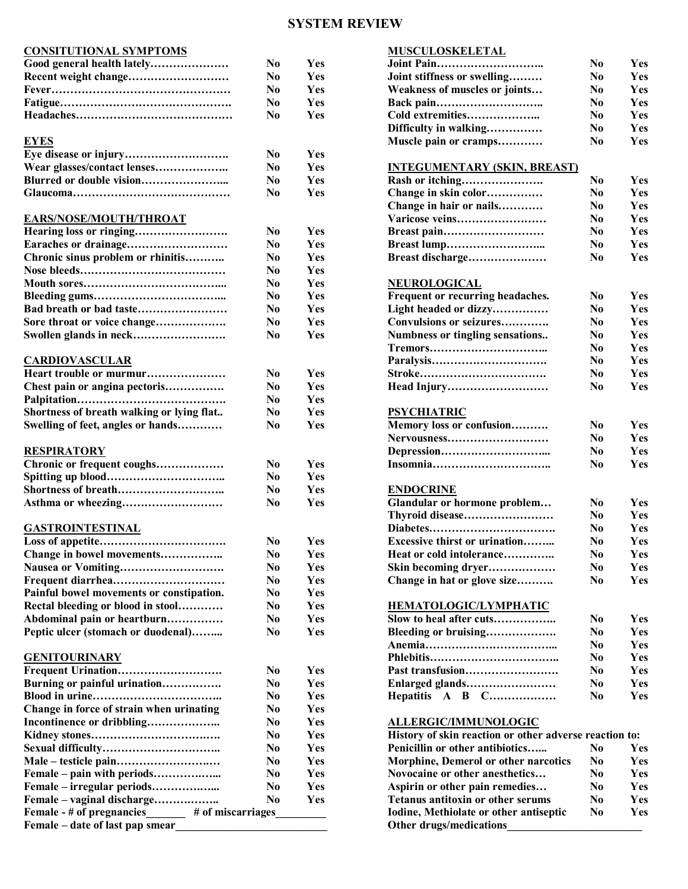## **SYSTEM REVIEW**

| <b>CONSITUTIONAL SYMPTOMS</b>                  |                |     | <b>MUSCULOSKELETAL</b>                                 |                |            |
|------------------------------------------------|----------------|-----|--------------------------------------------------------|----------------|------------|
| Good general health lately                     | N <sub>0</sub> | Yes |                                                        | N <sub>0</sub> | Yes        |
|                                                | N <sub>0</sub> | Yes | Joint stiffness or swelling                            | N <sub>0</sub> | Yes        |
|                                                | N <sub>0</sub> | Yes | Weakness of muscles or joints                          | N <sub>0</sub> | Yes        |
|                                                | N <sub>0</sub> | Yes |                                                        | N <sub>0</sub> | Yes        |
|                                                | N <sub>0</sub> | Yes | Cold extremities                                       | N <sub>0</sub> | Yes        |
|                                                |                |     | Difficulty in walking                                  | N <sub>0</sub> | Yes        |
| <b>EYES</b>                                    |                |     | Muscle pain or cramps                                  | N <sub>0</sub> | Yes        |
|                                                | N <sub>0</sub> | Yes |                                                        |                |            |
| Wear glasses/contact lenses                    | N <sub>0</sub> | Yes | <b>INTEGUMENTARY (SKIN, BREAST)</b>                    |                |            |
|                                                | N <sub>0</sub> | Yes |                                                        | N <sub>0</sub> | Yes        |
|                                                | N <sub>0</sub> | Yes | Change in skin color                                   | N <sub>0</sub> | Yes        |
|                                                |                |     | Change in hair or nails                                | N <sub>0</sub> | Yes        |
| <b>EARS/NOSE/MOUTH/THROAT</b>                  |                |     | Varicose veins                                         | N <sub>0</sub> | Yes        |
|                                                | N <sub>0</sub> | Yes |                                                        | N <sub>0</sub> | Yes        |
|                                                | N <sub>0</sub> | Yes |                                                        | N <sub>0</sub> | Yes        |
| Chronic sinus problem or rhinitis              | N <sub>0</sub> | Yes | Breast discharge                                       | N <sub>0</sub> | Yes        |
|                                                | N <sub>0</sub> | Yes |                                                        |                |            |
|                                                | N <sub>0</sub> | Yes | <b>NEUROLOGICAL</b>                                    |                |            |
|                                                | N <sub>0</sub> | Yes | Frequent or recurring headaches.                       | N <sub>0</sub> | Yes        |
| Bad breath or bad taste                        | N <sub>0</sub> | Yes | Light headed or dizzy                                  | N <sub>0</sub> | Yes        |
| Sore throat or voice change                    | N <sub>0</sub> | Yes | Convulsions or seizures                                | N <sub>0</sub> | Yes        |
|                                                | N <sub>0</sub> | Yes |                                                        | N <sub>0</sub> | Yes        |
|                                                |                |     | Numbness or tingling sensations                        |                | Yes        |
|                                                |                |     |                                                        | N <sub>0</sub> |            |
| <b>CARDIOVASCULAR</b>                          |                |     |                                                        | N <sub>0</sub> | Yes        |
| Heart trouble or murmur                        | N <sub>0</sub> | Yes |                                                        | N <sub>0</sub> | Yes        |
| Chest pain or angina pectoris                  | N <sub>0</sub> | Yes | Head Injury                                            | N <sub>0</sub> | Yes        |
|                                                | N <sub>0</sub> | Yes |                                                        |                |            |
| Shortness of breath walking or lying flat      | N <sub>0</sub> | Yes | <b>PSYCHIATRIC</b>                                     |                |            |
| Swelling of feet, angles or hands              | N <sub>0</sub> | Yes | Memory loss or confusion                               | N <sub>0</sub> | Yes        |
|                                                |                |     | Nervousness                                            | N <sub>0</sub> | Yes        |
| <b>RESPIRATORY</b>                             |                |     |                                                        | N <sub>0</sub> | Yes        |
| Chronic or frequent coughs                     | N <sub>0</sub> | Yes |                                                        | N <sub>0</sub> | Yes        |
|                                                | N <sub>0</sub> | Yes |                                                        |                |            |
|                                                | N <sub>0</sub> | Yes | <b>ENDOCRINE</b>                                       |                |            |
|                                                | N <sub>0</sub> | Yes | Glandular or hormone problem                           | N <sub>0</sub> | <b>Yes</b> |
|                                                |                |     | Thyroid disease                                        | N <sub>0</sub> | Yes        |
| <b>GASTROINTESTINAL</b>                        |                |     |                                                        | N <sub>0</sub> | Yes        |
|                                                | N <sub>0</sub> | Yes | <b>Excessive thirst or urination</b>                   | N <sub>0</sub> | Yes        |
| Change in bowel movements                      | N <sub>0</sub> | Yes | Heat or cold intolerance                               | N <sub>0</sub> | Yes        |
|                                                | N <sub>0</sub> | Yes | Skin becoming dryer                                    | N <sub>0</sub> | Yes        |
|                                                | N <sub>0</sub> | Yes | Change in hat or glove size                            | N <sub>0</sub> | Yes        |
| Painful bowel movements or constipation.       | N <sub>0</sub> | Yes |                                                        |                |            |
| Rectal bleeding or blood in stool              | N <sub>0</sub> | Yes | HEMATOLOGIC/LYMPHATIC                                  |                |            |
| Abdominal pain or heartburn                    | N <sub>0</sub> | Yes |                                                        | N <sub>0</sub> | Yes        |
| Peptic ulcer (stomach or duodenal)             | N <sub>0</sub> | Yes | Bleeding or bruising                                   | N <sub>0</sub> | Yes        |
|                                                |                |     |                                                        | N <sub>0</sub> | Yes        |
| <b>GENITOURINARY</b>                           |                |     |                                                        | N <sub>0</sub> | Yes        |
|                                                | N <sub>0</sub> | Yes |                                                        | N <sub>0</sub> | Yes        |
| Burning or painful urination                   | N <sub>0</sub> | Yes | Enlarged glands                                        | N <sub>0</sub> | Yes        |
|                                                | N <sub>0</sub> | Yes | Hepatitis A B C                                        | N <sub>0</sub> | Yes        |
| Change in force of strain when urinating       | N <sub>0</sub> | Yes |                                                        |                |            |
|                                                | N <sub>0</sub> | Yes | <b>ALLERGIC/IMMUNOLOGIC</b>                            |                |            |
|                                                | N <sub>0</sub> | Yes | History of skin reaction or other adverse reaction to: |                |            |
|                                                | N <sub>0</sub> | Yes | Penicillin or other antibiotics                        | N <sub>0</sub> | Yes        |
|                                                | N <sub>0</sub> | Yes | Morphine, Demerol or other narcotics                   | N <sub>0</sub> | Yes        |
|                                                | N <sub>0</sub> | Yes | Novocaine or other anesthetics                         | N <sub>0</sub> | Yes        |
| Female – pain with periods                     |                | Yes |                                                        |                | Yes        |
|                                                | N <sub>0</sub> | Yes | Aspirin or other pain remedies                         | N <sub>0</sub> |            |
| Female – vaginal discharge                     | N <sub>0</sub> |     | Tetanus antitoxin or other serums                      | N <sub>0</sub> | Yes        |
| # of miscarriages<br>Female - # of pregnancies |                |     | Iodine, Methiolate or other antiseptic                 | N <sub>0</sub> | Yes        |
| Female – date of last pap smear                |                |     | Other drugs/medications                                |                |            |